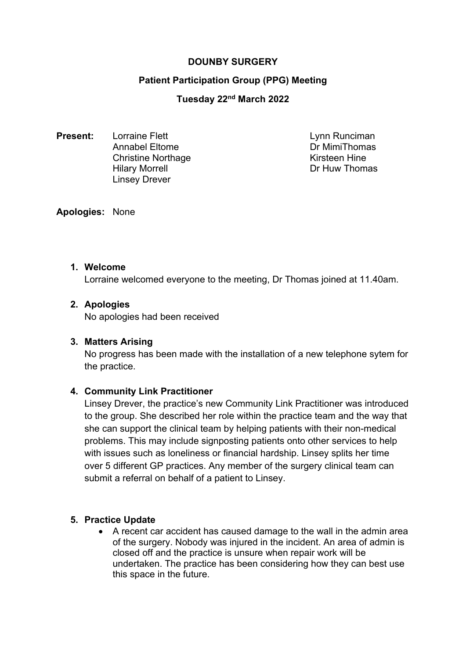# **DOUNBY SURGERY**

# **Patient Participation Group (PPG) Meeting**

## **Tuesday 22nd March 2022**

**Present:** Lorraine Flett Lynn Runciman Annabel Eltome Dr MimiThomas Christine Northage Kirsteen Hine Hilary Morrell **Dr Huw Thomas** Linsey Drever

#### **Apologies:** None

#### **1. Welcome**

Lorraine welcomed everyone to the meeting, Dr Thomas joined at 11.40am.

# **2. Apologies**

No apologies had been received

## **3. Matters Arising**

No progress has been made with the installation of a new telephone sytem for the practice.

## **4. Community Link Practitioner**

Linsey Drever, the practice's new Community Link Practitioner was introduced to the group. She described her role within the practice team and the way that she can support the clinical team by helping patients with their non-medical problems. This may include signposting patients onto other services to help with issues such as loneliness or financial hardship. Linsey splits her time over 5 different GP practices. Any member of the surgery clinical team can submit a referral on behalf of a patient to Linsey.

## **5. Practice Update**

 A recent car accident has caused damage to the wall in the admin area of the surgery. Nobody was injured in the incident. An area of admin is closed off and the practice is unsure when repair work will be undertaken. The practice has been considering how they can best use this space in the future.